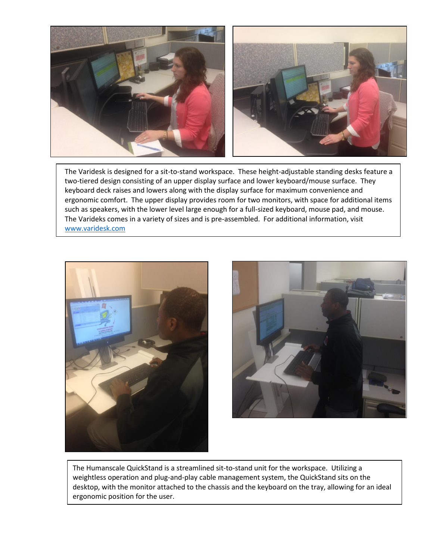

The Varidesk is designed for a sit-to-stand workspace. These height-adjustable standing desks feature a two-tiered design consisting of an upper display surface and lower keyboard/mouse surface. They keyboard deck raises and lowers along with the display surface for maximum convenience and ergonomic comfort. The upper display provides room for two monitors, with space for additional items such as speakers, with the lower level large enough for a full-sized keyboard, mouse pad, and mouse. The Varideks comes in a variety of sizes and is pre-assembled. For additional information, visit [www.varidesk.com](http://www.varidesk.com/)





The Humanscale QuickStand is a streamlined sit-to-stand unit for the workspace. Utilizing a weightless operation and plug-and-play cable management system, the QuickStand sits on the desktop, with the monitor attached to the chassis and the keyboard on the tray, allowing for an ideal ergonomic position for the user.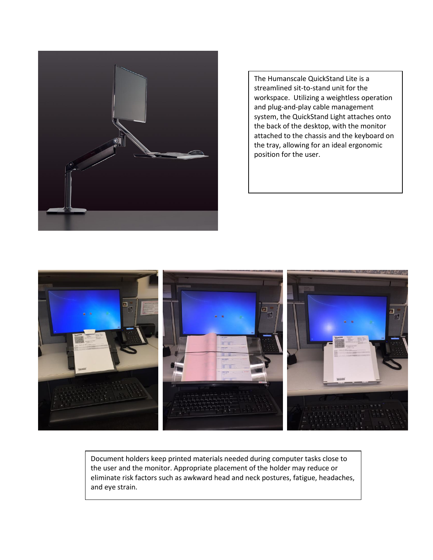

The Humanscale QuickStand Lite is a streamlined sit-to-stand unit for the workspace. Utilizing a weightless operation and plug-and-play cable management system, the QuickStand Light attaches onto the back of the desktop, with the monitor attached to the chassis and the keyboard on the tray, allowing for an ideal ergonomic position for the user.



Document holders keep printed materials needed during computer tasks close to the user and the monitor. Appropriate placement of the holder may reduce or eliminate risk factors such as awkward head and neck postures, fatigue, headaches, and eye strain.